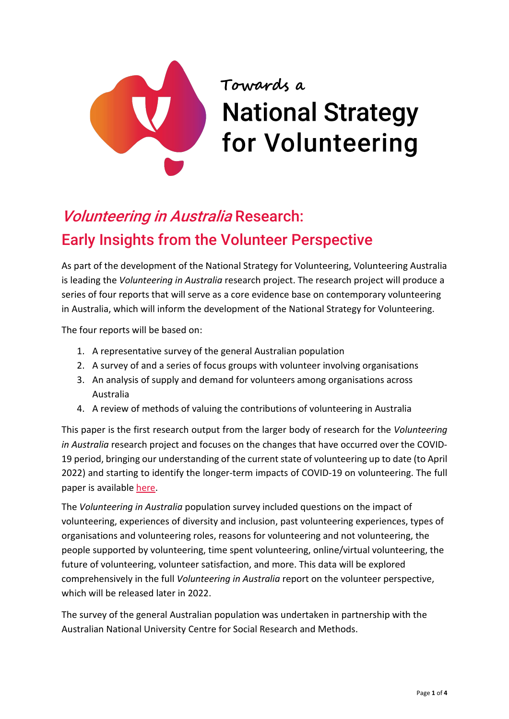

# Towards a **National Strategy** for Volunteering

# Volunteering in Australia Research: Early Insights from the Volunteer Perspective

As part of the development of the National Strategy for Volunteering, Volunteering Australia is leading the *Volunteering in Australia* research project. The research project will produce a series of four reports that will serve as a core evidence base on contemporary volunteering in Australia, which will inform the development of the National Strategy for Volunteering.

The four reports will be based on:

- 1. A representative survey of the general Australian population
- 2. A survey of and a series of focus groups with volunteer involving organisations
- 3. An analysis of supply and demand for volunteers among organisations across Australia
- 4. A review of methods of valuing the contributions of volunteering in Australia

This paper is the first research output from the larger body of research for the *Volunteering in Australia* research project and focuses on the changes that have occurred over the COVID-19 period, bringing our understanding of the current state of volunteering up to date (to April 2022) and starting to identify the longer-term impacts of COVID-19 on volunteering. The full paper is available [here.](https://csrm.cass.anu.edu.au/research/publications/volunteers-and-volunteering-during-covid-era-australia)

The *Volunteering in Australia* population survey included questions on the impact of volunteering, experiences of diversity and inclusion, past volunteering experiences, types of organisations and volunteering roles, reasons for volunteering and not volunteering, the people supported by volunteering, time spent volunteering, online/virtual volunteering, the future of volunteering, volunteer satisfaction, and more. This data will be explored comprehensively in the full *Volunteering in Australia* report on the volunteer perspective, which will be released later in 2022.

The survey of the general Australian population was undertaken in partnership with the Australian National University Centre for Social Research and Methods.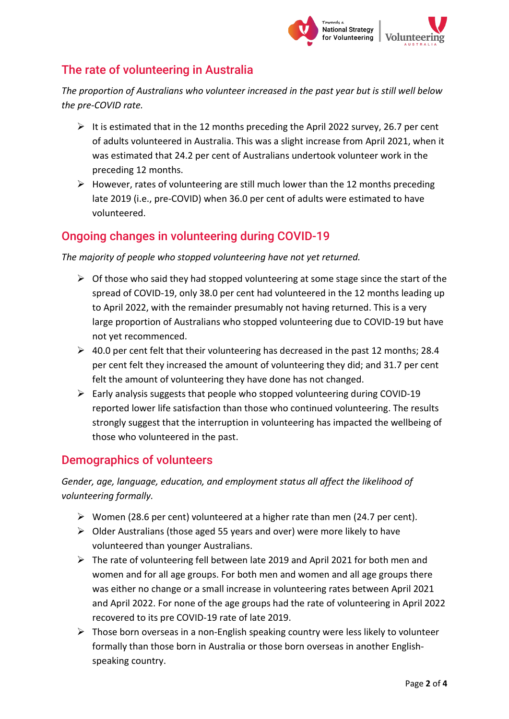

# The rate of volunteering in Australia

*The proportion of Australians who volunteer increased in the past year but is still well below the pre-COVID rate.*

- It is estimated that in the 12 months preceding the April 2022 survey, 26.7 per cent of adults volunteered in Australia. This was a slight increase from April 2021, when it was estimated that 24.2 per cent of Australians undertook volunteer work in the preceding 12 months.
- $\triangleright$  However, rates of volunteering are still much lower than the 12 months preceding late 2019 (i.e., pre-COVID) when 36.0 per cent of adults were estimated to have volunteered.

# Ongoing changes in volunteering during COVID-19

*The majority of people who stopped volunteering have not yet returned.*

- $\triangleright$  Of those who said they had stopped volunteering at some stage since the start of the spread of COVID-19, only 38.0 per cent had volunteered in the 12 months leading up to April 2022, with the remainder presumably not having returned. This is a very large proportion of Australians who stopped volunteering due to COVID-19 but have not yet recommenced.
- $\geq 40.0$  per cent felt that their volunteering has decreased in the past 12 months; 28.4 per cent felt they increased the amount of volunteering they did; and 31.7 per cent felt the amount of volunteering they have done has not changed.
- $\triangleright$  Early analysis suggests that people who stopped volunteering during COVID-19 reported lower life satisfaction than those who continued volunteering. The results strongly suggest that the interruption in volunteering has impacted the wellbeing of those who volunteered in the past.

#### Demographics of volunteers

*Gender, age, language, education, and employment status all affect the likelihood of volunteering formally.*

- $\triangleright$  Women (28.6 per cent) volunteered at a higher rate than men (24.7 per cent).
- $\triangleright$  Older Australians (those aged 55 years and over) were more likely to have volunteered than younger Australians.
- $\triangleright$  The rate of volunteering fell between late 2019 and April 2021 for both men and women and for all age groups. For both men and women and all age groups there was either no change or a small increase in volunteering rates between April 2021 and April 2022. For none of the age groups had the rate of volunteering in April 2022 recovered to its pre COVID-19 rate of late 2019.
- $\triangleright$  Those born overseas in a non-English speaking country were less likely to volunteer formally than those born in Australia or those born overseas in another Englishspeaking country.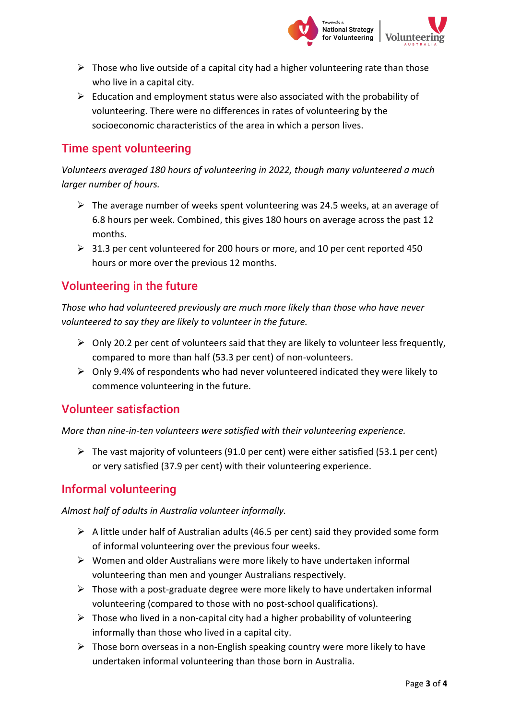

- $\triangleright$  Those who live outside of a capital city had a higher volunteering rate than those who live in a capital city.
- $\triangleright$  Education and employment status were also associated with the probability of volunteering. There were no differences in rates of volunteering by the socioeconomic characteristics of the area in which a person lives.

### Time spent volunteering

*Volunteers averaged 180 hours of volunteering in 2022, though many volunteered a much larger number of hours.*

- $\triangleright$  The average number of weeks spent volunteering was 24.5 weeks, at an average of 6.8 hours per week. Combined, this gives 180 hours on average across the past 12 months.
- ▶ 31.3 per cent volunteered for 200 hours or more, and 10 per cent reported 450 hours or more over the previous 12 months.

# Volunteering in the future

*Those who had volunteered previously are much more likely than those who have never volunteered to say they are likely to volunteer in the future.*

- $\triangleright$  Only 20.2 per cent of volunteers said that they are likely to volunteer less frequently, compared to more than half (53.3 per cent) of non-volunteers.
- $\triangleright$  Only 9.4% of respondents who had never volunteered indicated they were likely to commence volunteering in the future.

#### Volunteer satisfaction

*More than nine-in-ten volunteers were satisfied with their volunteering experience.*

 $\triangleright$  The vast majority of volunteers (91.0 per cent) were either satisfied (53.1 per cent) or very satisfied (37.9 per cent) with their volunteering experience.

#### Informal volunteering

*Almost half of adults in Australia volunteer informally.*

- $\triangleright$  A little under half of Australian adults (46.5 per cent) said they provided some form of informal volunteering over the previous four weeks.
- $\triangleright$  Women and older Australians were more likely to have undertaken informal volunteering than men and younger Australians respectively.
- $\triangleright$  Those with a post-graduate degree were more likely to have undertaken informal volunteering (compared to those with no post-school qualifications).
- $\triangleright$  Those who lived in a non-capital city had a higher probability of volunteering informally than those who lived in a capital city.
- $\triangleright$  Those born overseas in a non-English speaking country were more likely to have undertaken informal volunteering than those born in Australia.